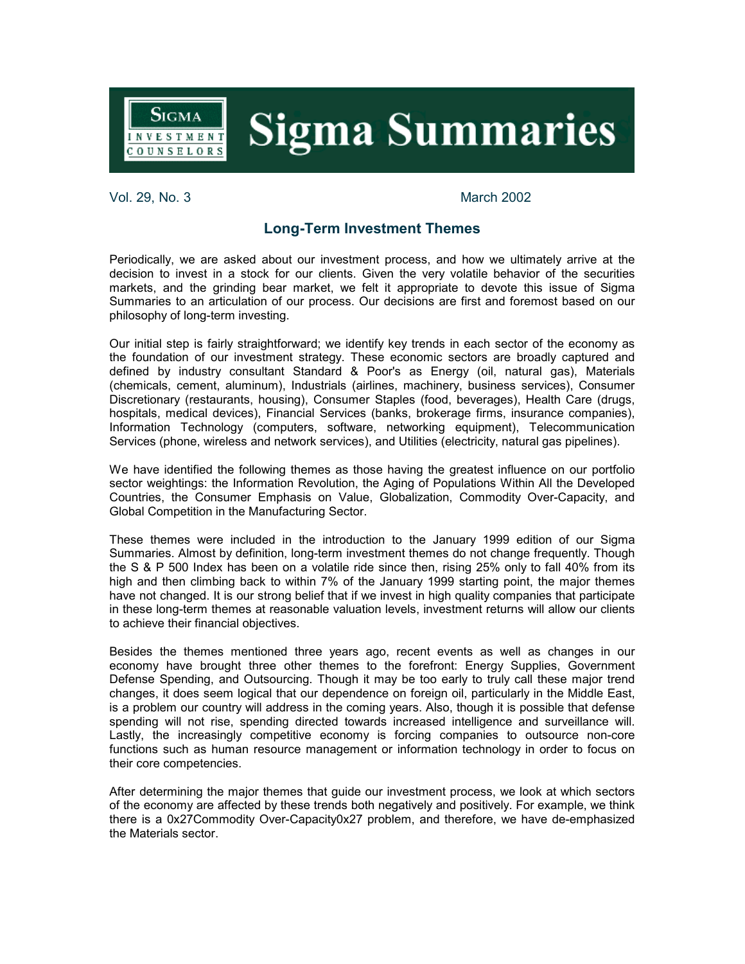**Sigma Summaries** 

Vol. 29, No. 3 March 2002

**SIGMA** 

INVESTMENT **OUNSELORS** 

## **Long-Term Investment Themes**

Periodically, we are asked about our investment process, and how we ultimately arrive at the decision to invest in a stock for our clients. Given the very volatile behavior of the securities markets, and the grinding bear market, we felt it appropriate to devote this issue of Sigma Summaries to an articulation of our process. Our decisions are first and foremost based on our philosophy of long-term investing.

Our initial step is fairly straightforward; we identify key trends in each sector of the economy as the foundation of our investment strategy. These economic sectors are broadly captured and defined by industry consultant Standard & Poor's as Energy (oil, natural gas), Materials (chemicals, cement, aluminum), Industrials (airlines, machinery, business services), Consumer Discretionary (restaurants, housing), Consumer Staples (food, beverages), Health Care (drugs, hospitals, medical devices), Financial Services (banks, brokerage firms, insurance companies), Information Technology (computers, software, networking equipment), Telecommunication Services (phone, wireless and network services), and Utilities (electricity, natural gas pipelines).

We have identified the following themes as those having the greatest influence on our portfolio sector weightings: the Information Revolution, the Aging of Populations Within All the Developed Countries, the Consumer Emphasis on Value, Globalization, Commodity Over-Capacity, and Global Competition in the Manufacturing Sector.

These themes were included in the introduction to the January 1999 edition of our Sigma Summaries. Almost by definition, long-term investment themes do not change frequently. Though the S & P 500 Index has been on a volatile ride since then, rising 25% only to fall 40% from its high and then climbing back to within 7% of the January 1999 starting point, the major themes have not changed. It is our strong belief that if we invest in high quality companies that participate in these long-term themes at reasonable valuation levels, investment returns will allow our clients to achieve their financial objectives.

Besides the themes mentioned three years ago, recent events as well as changes in our economy have brought three other themes to the forefront: Energy Supplies, Government Defense Spending, and Outsourcing. Though it may be too early to truly call these major trend changes, it does seem logical that our dependence on foreign oil, particularly in the Middle East, is a problem our country will address in the coming years. Also, though it is possible that defense spending will not rise, spending directed towards increased intelligence and surveillance will. Lastly, the increasingly competitive economy is forcing companies to outsource non-core functions such as human resource management or information technology in order to focus on their core competencies.

After determining the major themes that guide our investment process, we look at which sectors of the economy are affected by these trends both negatively and positively. For example, we think there is a 0x27Commodity Over-Capacity0x27 problem, and therefore, we have de-emphasized the Materials sector.